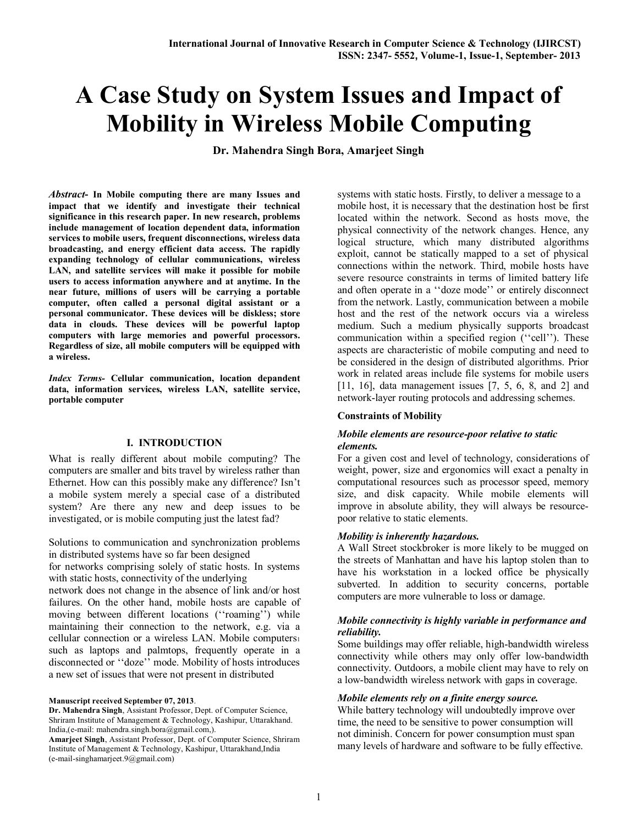# **A Case Study on System Issues and Impact of Mobility in Wireless Mobile Computing**

**Dr. Mahendra Singh Bora, Amarjeet Singh**

*Abstract***- In Mobile computing there are many Issues and impact that we identify and investigate their technical significance in this research paper. In new research, problems include management of location dependent data, information services to mobile users, frequent disconnections, wireless data broadcasting, and energy efficient data access. The rapidly expanding technology of cellular communications, wireless LAN, and satellite services will make it possible for mobile users to access information anywhere and at anytime. In the near future, millions of users will be carrying a portable computer, often called a personal digital assistant or a personal communicator. These devices will be diskless; store data in clouds. These devices will be powerful laptop computers with large memories and powerful processors. Regardless of size, all mobile computers will be equipped with a wireless.**

*Index Terms-* **Cellular communication, location depandent data, information services, wireless LAN, satellite service, portable computer**

#### **I. INTRODUCTION**

What is really different about mobile computing? The computers are smaller and bits travel by wireless rather than Ethernet. How can this possibly make any difference? Isn't a mobile system merely a special case of a distributed system? Are there any new and deep issues to be investigated, or is mobile computing just the latest fad?

Solutions to communication and synchronization problems in distributed systems have so far been designed

for networks comprising solely of static hosts. In systems with static hosts, connectivity of the underlying

network does not change in the absence of link and/or host failures. On the other hand, mobile hosts are capable of moving between different locations ("roaming") while maintaining their connection to the network, e.g. via a cellular connection or a wireless LAN. Mobile computers<sup>1</sup> such as laptops and palmtops, frequently operate in a disconnected or ''doze'' mode. Mobility of hosts introduces a new set of issues that were not present in distributed

**Amarjeet Singh**, Assistant Professor, Dept. of Computer Science, Shriram Institute of Management & Technology, Kashipur, Uttarakhand,India (e-mail-singhamarjeet.9@gmail.com)

systems with static hosts. Firstly, to deliver a message to a mobile host, it is necessary that the destination host be first located within the network. Second as hosts move, the physical connectivity of the network changes. Hence, any logical structure, which many distributed algorithms exploit, cannot be statically mapped to a set of physical connections within the network. Third, mobile hosts have severe resource constraints in terms of limited battery life and often operate in a ''doze mode'' or entirely disconnect from the network. Lastly, communication between a mobile host and the rest of the network occurs via a wireless medium. Such a medium physically supports broadcast communication within a specified region (''cell''). These aspects are characteristic of mobile computing and need to be considered in the design of distributed algorithms. Prior work in related areas include file systems for mobile users [11, 16], data management issues [7, 5, 6, 8, and 2] and network-layer routing protocols and addressing schemes.

#### **Constraints of Mobility**

#### *Mobile elements are resource-poor relative to static elements.*

For a given cost and level of technology, considerations of weight, power, size and ergonomics will exact a penalty in computational resources such as processor speed, memory size, and disk capacity. While mobile elements will improve in absolute ability, they will always be resourcepoor relative to static elements.

#### *Mobility is inherently hazardous.*

A Wall Street stockbroker is more likely to be mugged on the streets of Manhattan and have his laptop stolen than to have his workstation in a locked office be physically subverted. In addition to security concerns, portable computers are more vulnerable to loss or damage.

#### *Mobile connectivity is highly variable in performance and reliability.*

Some buildings may offer reliable, high-bandwidth wireless connectivity while others may only offer low-bandwidth connectivity. Outdoors, a mobile client may have to rely on a low-bandwidth wireless network with gaps in coverage.

#### *Mobile elements rely on a finite energy source.*

While battery technology will undoubtedly improve over time, the need to be sensitive to power consumption will not diminish. Concern for power consumption must span many levels of hardware and software to be fully effective.

**Manuscript received September 07, 2013**.

**Dr. Mahendra Singh**, Assistant Professor, Dept. of Computer Science, Shriram Institute of Management & Technology, Kashipur, Uttarakhand. India,(e-mail: mahendra.singh.bora@gmail.com,).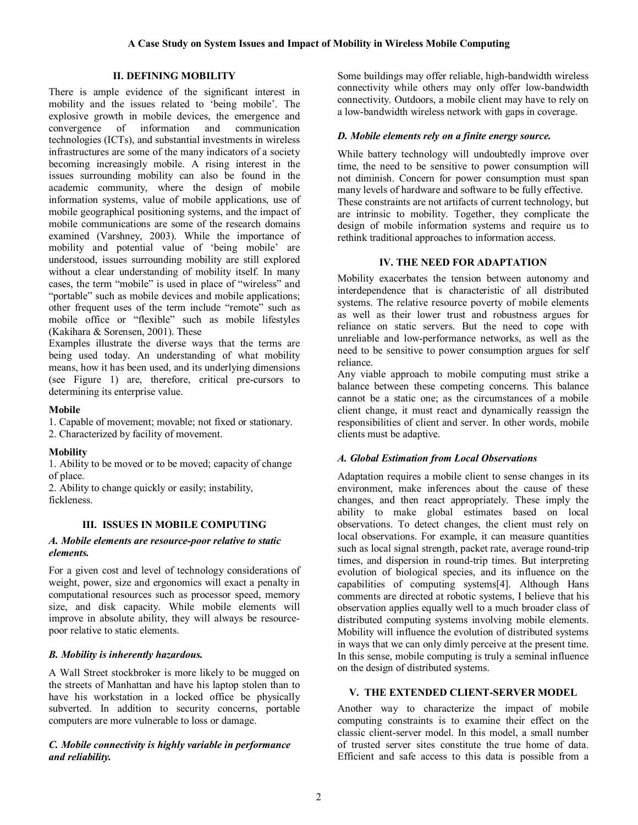# **II. DEFINING MOBILITY**

There is ample evidence of the significant interest in mobility and the issues related to 'being mobile'. The explosive growth in mobile devices, the emergence and convergence of information and communication of information and technologies (ICTs), and substantial investments in wireless infrastructures are some of the many indicators of a society becoming increasingly mobile. A rising interest in the issues surrounding mobility can also be found in the academic community, where the design of mobile information systems, value of mobile applications, use of mobile geographical positioning systems, and the impact of mobile communications are some of the research domains examined (Varshney, 2003). While the importance of mobility and potential value of 'being mobile' are understood, issues surrounding mobility are still explored without a clear understanding of mobility itself. In many cases, the term "mobile" is used in place of "wireless" and "portable" such as mobile devices and mobile applications; other frequent uses of the term include "remote" such as mobile office or "flexible" such as mobile lifestyles (Kakihara & Sorensen, 2001). These

Examples illustrate the diverse ways that the terms are being used today. An understanding of what mobility means, how it has been used, and its underlying dimensions (see Figure 1) are, therefore, critical pre-cursors to determining its enterprise value.

# **Mobile**

1. Capable of movement; movable; not fixed or stationary.

2. Characterized by facility of movement.

# **Mobility**

1. Ability to be moved or to be moved; capacity of change of place.

2. Ability to change quickly or easily; instability, fickleness.

## **III. ISSUES IN MOBILE COMPUTING**

#### *A. Mobile elements are resource-poor relative to static elements.*

For a given cost and level of technology considerations of weight, power, size and ergonomics will exact a penalty in computational resources such as processor speed, memory size, and disk capacity. While mobile elements will improve in absolute ability, they will always be resourcepoor relative to static elements.

## *B. Mobility is inherently hazardous.*

A Wall Street stockbroker is more likely to be mugged on the streets of Manhattan and have his laptop stolen than to have his workstation in a locked office be physically subverted. In addition to security concerns, portable computers are more vulnerable to loss or damage.

## *C. Mobile connectivity is highly variable in performance and reliability.*

Some buildings may offer reliable, high-bandwidth wireless connectivity while others may only offer low-bandwidth connectivity. Outdoors, a mobile client may have to rely on a low-bandwidth wireless network with gaps in coverage.

# *D. Mobile elements rely on a finite energy source.*

While battery technology will undoubtedly improve over time, the need to be sensitive to power consumption will not diminish. Concern for power consumption must span many levels of hardware and software to be fully effective. These constraints are not artifacts of current technology, but are intrinsic to mobility. Together, they complicate the design of mobile information systems and require us to rethink traditional approaches to information access.

## **IV. THE NEED FOR ADAPTATION**

Mobility exacerbates the tension between autonomy and interdependence that is characteristic of all distributed systems. The relative resource poverty of mobile elements as well as their lower trust and robustness argues for reliance on static servers. But the need to cope with unreliable and low-performance networks, as well as the need to be sensitive to power consumption argues for self reliance.

Any viable approach to mobile computing must strike a balance between these competing concerns. This balance cannot be a static one; as the circumstances of a mobile client change, it must react and dynamically reassign the responsibilities of client and server. In other words, mobile clients must be adaptive.

# *A. Global Estimation from Local Observations*

Adaptation requires a mobile client to sense changes in its environment, make inferences about the cause of these changes, and then react appropriately. These imply the ability to make global estimates based on local observations. To detect changes, the client must rely on local observations. For example, it can measure quantities such as local signal strength, packet rate, average round-trip times, and dispersion in round-trip times. But interpreting evolution of biological species, and its influence on the capabilities of computing systems[4]. Although Hans comments are directed at robotic systems, I believe that his observation applies equally well to a much broader class of distributed computing systems involving mobile elements. Mobility will influence the evolution of distributed systems in ways that we can only dimly perceive at the present time. In this sense, mobile computing is truly a seminal influence on the design of distributed systems.

## **V. THE EXTENDED CLIENT-SERVER MODEL**

Another way to characterize the impact of mobile computing constraints is to examine their effect on the classic client-server model. In this model, a small number of trusted server sites constitute the true home of data. Efficient and safe access to this data is possible from a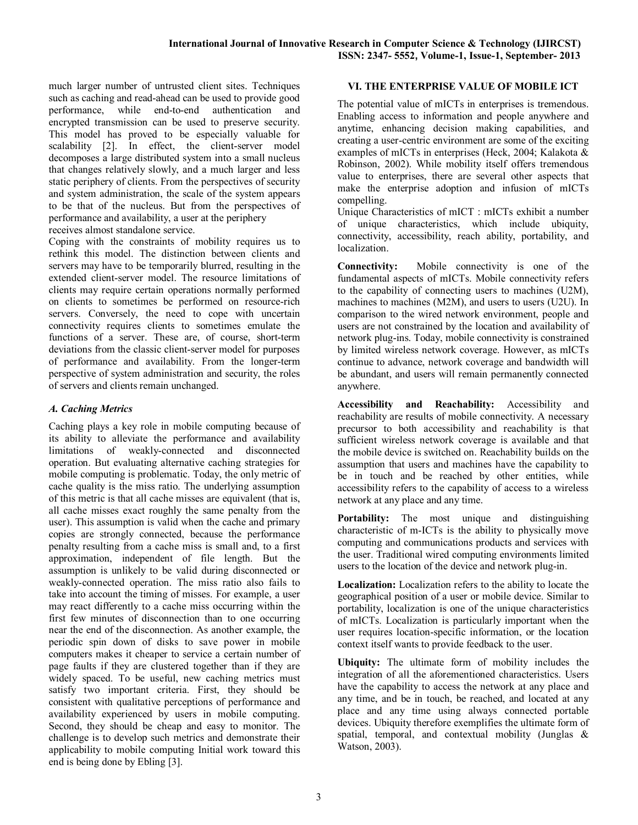much larger number of untrusted client sites. Techniques such as caching and read-ahead can be used to provide good performance, while end-to-end authentication and encrypted transmission can be used to preserve security. This model has proved to be especially valuable for scalability [2]. In effect, the client-server model decomposes a large distributed system into a small nucleus that changes relatively slowly, and a much larger and less static periphery of clients. From the perspectives of security and system administration, the scale of the system appears to be that of the nucleus. But from the perspectives of performance and availability, a user at the periphery receives almost standalone service.

Coping with the constraints of mobility requires us to rethink this model. The distinction between clients and servers may have to be temporarily blurred, resulting in the extended client-server model. The resource limitations of clients may require certain operations normally performed on clients to sometimes be performed on resource-rich servers. Conversely, the need to cope with uncertain connectivity requires clients to sometimes emulate the functions of a server. These are, of course, short-term deviations from the classic client-server model for purposes of performance and availability. From the longer-term perspective of system administration and security, the roles of servers and clients remain unchanged.

# *A. Caching Metrics*

Caching plays a key role in mobile computing because of its ability to alleviate the performance and availability limitations of weakly-connected and disconnected operation. But evaluating alternative caching strategies for mobile computing is problematic. Today, the only metric of cache quality is the miss ratio. The underlying assumption of this metric is that all cache misses are equivalent (that is, all cache misses exact roughly the same penalty from the user). This assumption is valid when the cache and primary copies are strongly connected, because the performance penalty resulting from a cache miss is small and, to a first approximation, independent of file length. But the assumption is unlikely to be valid during disconnected or weakly-connected operation. The miss ratio also fails to take into account the timing of misses. For example, a user may react differently to a cache miss occurring within the first few minutes of disconnection than to one occurring near the end of the disconnection. As another example, the periodic spin down of disks to save power in mobile computers makes it cheaper to service a certain number of page faults if they are clustered together than if they are widely spaced. To be useful, new caching metrics must satisfy two important criteria. First, they should be consistent with qualitative perceptions of performance and availability experienced by users in mobile computing. Second, they should be cheap and easy to monitor. The challenge is to develop such metrics and demonstrate their applicability to mobile computing Initial work toward this end is being done by Ebling [3].

# **VI. THE ENTERPRISE VALUE OF MOBILE ICT**

The potential value of mICTs in enterprises is tremendous. Enabling access to information and people anywhere and anytime, enhancing decision making capabilities, and creating a user-centric environment are some of the exciting examples of mICTs in enterprises (Heck, 2004; Kalakota & Robinson, 2002). While mobility itself offers tremendous value to enterprises, there are several other aspects that make the enterprise adoption and infusion of mICTs compelling.

Unique Characteristics of mICT : mICTs exhibit a number of unique characteristics, which include ubiquity, connectivity, accessibility, reach ability, portability, and localization.

**Connectivity:** Mobile connectivity is one of the fundamental aspects of mICTs. Mobile connectivity refers to the capability of connecting users to machines (U2M), machines to machines (M2M), and users to users (U2U). In comparison to the wired network environment, people and users are not constrained by the location and availability of network plug-ins. Today, mobile connectivity is constrained by limited wireless network coverage. However, as mICTs continue to advance, network coverage and bandwidth will be abundant, and users will remain permanently connected anywhere.

**Accessibility and Reachability:** Accessibility and reachability are results of mobile connectivity. A necessary precursor to both accessibility and reachability is that sufficient wireless network coverage is available and that the mobile device is switched on. Reachability builds on the assumption that users and machines have the capability to be in touch and be reached by other entities, while accessibility refers to the capability of access to a wireless network at any place and any time.

**Portability:** The most unique and distinguishing characteristic of m-ICTs is the ability to physically move computing and communications products and services with the user. Traditional wired computing environments limited users to the location of the device and network plug-in.

**Localization:** Localization refers to the ability to locate the geographical position of a user or mobile device. Similar to portability, localization is one of the unique characteristics of mICTs. Localization is particularly important when the user requires location-specific information, or the location context itself wants to provide feedback to the user.

**Ubiquity:** The ultimate form of mobility includes the integration of all the aforementioned characteristics. Users have the capability to access the network at any place and any time, and be in touch, be reached, and located at any place and any time using always connected portable devices. Ubiquity therefore exemplifies the ultimate form of spatial, temporal, and contextual mobility (Junglas & Watson, 2003).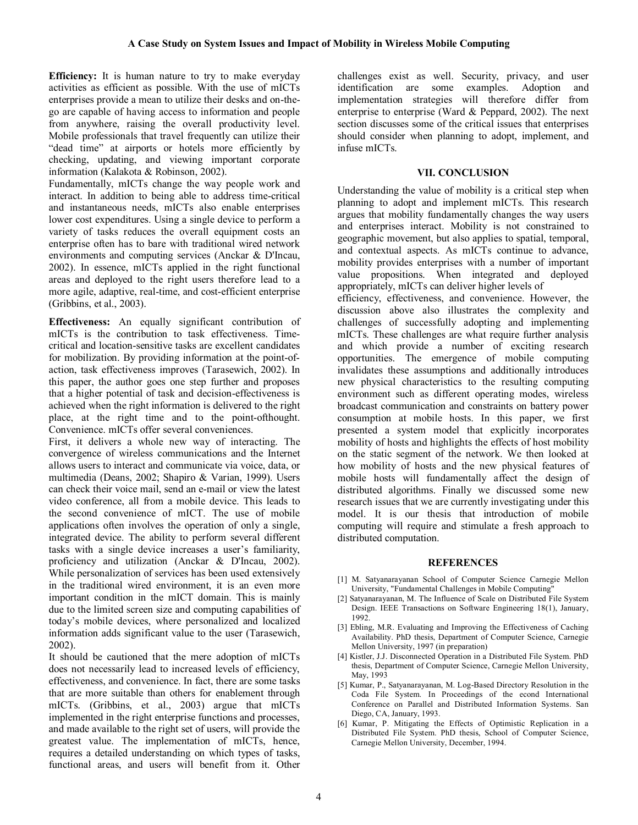**Efficiency:** It is human nature to try to make everyday activities as efficient as possible. With the use of mICTs enterprises provide a mean to utilize their desks and on-thego are capable of having access to information and people from anywhere, raising the overall productivity level. Mobile professionals that travel frequently can utilize their "dead time" at airports or hotels more efficiently by checking, updating, and viewing important corporate information (Kalakota & Robinson, 2002).

Fundamentally, mICTs change the way people work and interact. In addition to being able to address time-critical and instantaneous needs, mICTs also enable enterprises lower cost expenditures. Using a single device to perform a variety of tasks reduces the overall equipment costs an enterprise often has to bare with traditional wired network environments and computing services (Anckar & D'Incau, 2002). In essence, mICTs applied in the right functional areas and deployed to the right users therefore lead to a more agile, adaptive, real-time, and cost-efficient enterprise (Gribbins, et al., 2003).

**Effectiveness:** An equally significant contribution of mICTs is the contribution to task effectiveness. Timecritical and location-sensitive tasks are excellent candidates for mobilization. By providing information at the point-ofaction, task effectiveness improves (Tarasewich, 2002). In this paper, the author goes one step further and proposes that a higher potential of task and decision-effectiveness is achieved when the right information is delivered to the right place, at the right time and to the point-ofthought. Convenience. mICTs offer several conveniences.

First, it delivers a whole new way of interacting. The convergence of wireless communications and the Internet allows users to interact and communicate via voice, data, or multimedia (Deans, 2002; Shapiro & Varian, 1999). Users can check their voice mail, send an e-mail or view the latest video conference, all from a mobile device. This leads to the second convenience of mICT. The use of mobile applications often involves the operation of only a single, integrated device. The ability to perform several different tasks with a single device increases a user's familiarity, proficiency and utilization (Anckar & D'Incau, 2002). While personalization of services has been used extensively in the traditional wired environment, it is an even more important condition in the mICT domain. This is mainly due to the limited screen size and computing capabilities of today's mobile devices, where personalized and localized information adds significant value to the user (Tarasewich, 2002).

It should be cautioned that the mere adoption of mICTs does not necessarily lead to increased levels of efficiency, effectiveness, and convenience. In fact, there are some tasks that are more suitable than others for enablement through mICTs. (Gribbins, et al., 2003) argue that mICTs implemented in the right enterprise functions and processes, and made available to the right set of users, will provide the greatest value. The implementation of mICTs, hence, requires a detailed understanding on which types of tasks, functional areas, and users will benefit from it. Other

challenges exist as well. Security, privacy, and user identification are some examples. Adoption and implementation strategies will therefore differ from enterprise to enterprise (Ward & Peppard, 2002). The next section discusses some of the critical issues that enterprises should consider when planning to adopt, implement, and infuse mICTs.

#### **VII. CONCLUSION**

Understanding the value of mobility is a critical step when planning to adopt and implement mICTs. This research argues that mobility fundamentally changes the way users and enterprises interact. Mobility is not constrained to geographic movement, but also applies to spatial, temporal, and contextual aspects. As mICTs continue to advance, mobility provides enterprises with a number of important value propositions. When integrated and deployed appropriately, mICTs can deliver higher levels of

efficiency, effectiveness, and convenience. However, the discussion above also illustrates the complexity and challenges of successfully adopting and implementing mICTs. These challenges are what require further analysis and which provide a number of exciting research opportunities. The emergence of mobile computing invalidates these assumptions and additionally introduces new physical characteristics to the resulting computing environment such as different operating modes, wireless broadcast communication and constraints on battery power consumption at mobile hosts. In this paper, we first presented a system model that explicitly incorporates mobility of hosts and highlights the effects of host mobility on the static segment of the network. We then looked at how mobility of hosts and the new physical features of mobile hosts will fundamentally affect the design of distributed algorithms. Finally we discussed some new research issues that we are currently investigating under this model. It is our thesis that introduction of mobile computing will require and stimulate a fresh approach to distributed computation.

#### **REFERENCES**

- [1] M. Satyanarayanan School of Computer Science Carnegie Mellon University, "Fundamental Challenges in Mobile Computing"
- [2] Satyanarayanan, M. The Influence of Scale on Distributed File System Design. IEEE Transactions on Software Engineering 18(1), January, 1992.
- [3] Ebling, M.R. Evaluating and Improving the Effectiveness of Caching Availability. PhD thesis, Department of Computer Science, Carnegie Mellon University, 1997 (in preparation)
- [4] Kistler, J.J. Disconnected Operation in a Distributed File System. PhD thesis, Department of Computer Science, Carnegie Mellon University, May, 1993
- [5] Kumar, P., Satyanarayanan, M. Log-Based Directory Resolution in the Coda File System. In Proceedings of the econd International Conference on Parallel and Distributed Information Systems. San Diego, CA, January, 1993.
- [6] Kumar, P. Mitigating the Effects of Optimistic Replication in a Distributed File System. PhD thesis, School of Computer Science, Carnegie Mellon University, December, 1994.